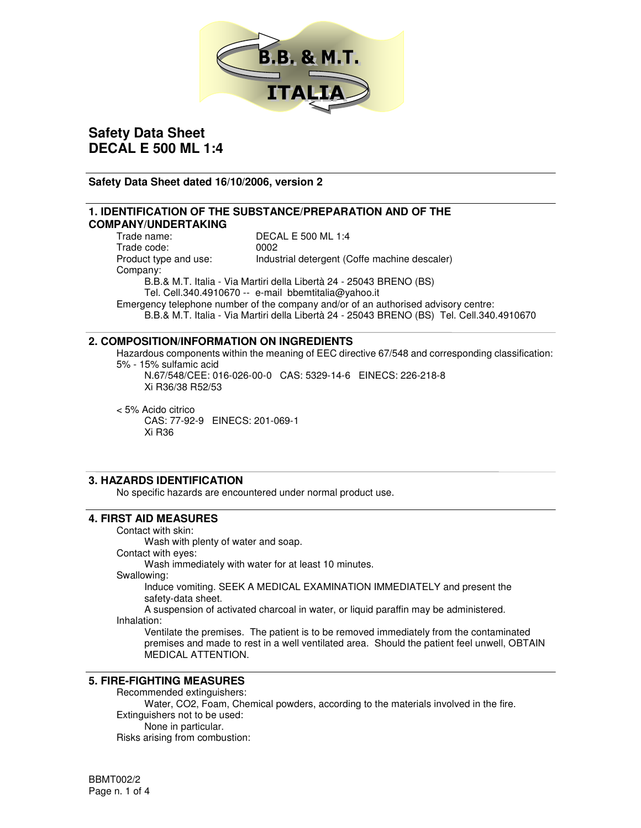

### **Safety Data Sheet dated 16/10/2006, version 2**

# **1. IDENTIFICATION OF THE SUBSTANCE/PREPARATION AND OF THE COMPANY/UNDERTAKING**

DECAL E 500 ML 1:4 Trade code: 0002 Product type and use: Industrial detergent (Coffe machine descaler) Company: B.B.& M.T. Italia - Via Martiri della Libertà 24 - 25043 BRENO (BS) Tel. Cell.340.4910670 -- e-mail bbemtitalia@yahoo.it Emergency telephone number of the company and/or of an authorised advisory centre: B.B.& M.T. Italia - Via Martiri della Libertà 24 - 25043 BRENO (BS) Tel. Cell.340.4910670

### **2. COMPOSITION/INFORMATION ON INGREDIENTS**

Hazardous components within the meaning of EEC directive 67/548 and corresponding classification: 5% - 15% sulfamic acid

N.67/548/CEE: 016-026-00-0 CAS: 5329-14-6 EINECS: 226-218-8 Xi R36/38 R52/53

< 5% Acido citrico CAS: 77-92-9 EINECS: 201-069-1 Xi R36

## **3. HAZARDS IDENTIFICATION**

No specific hazards are encountered under normal product use.

## **4. FIRST AID MEASURES**

#### Contact with skin:

Wash with plenty of water and soap.

Contact with eyes:

Wash immediately with water for at least 10 minutes.

Swallowing:

Induce vomiting. SEEK A MEDICAL EXAMINATION IMMEDIATELY and present the safety-data sheet.

A suspension of activated charcoal in water, or liquid paraffin may be administered. Inhalation:

Ventilate the premises. The patient is to be removed immediately from the contaminated premises and made to rest in a well ventilated area. Should the patient feel unwell, OBTAIN MEDICAL ATTENTION.

### **5. FIRE-FIGHTING MEASURES**

Recommended extinguishers: Water, CO2, Foam, Chemical powders, according to the materials involved in the fire. Extinguishers not to be used: None in particular. Risks arising from combustion: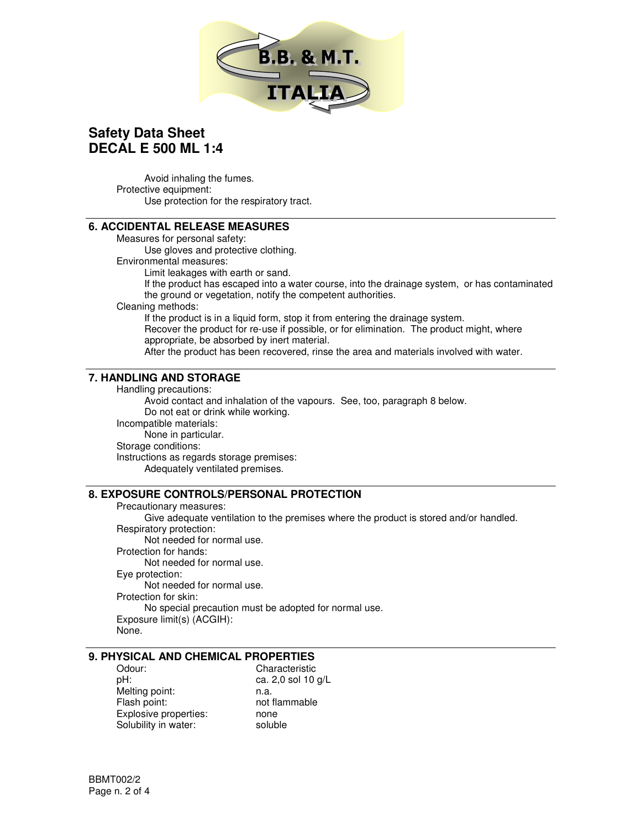

Avoid inhaling the fumes. Protective equipment: Use protection for the respiratory tract.

### **6. ACCIDENTAL RELEASE MEASURES**

Measures for personal safety:

Use gloves and protective clothing.

Environmental measures:

Limit leakages with earth or sand.

If the product has escaped into a water course, into the drainage system, or has contaminated the ground or vegetation, notify the competent authorities.

Cleaning methods:

If the product is in a liquid form, stop it from entering the drainage system. Recover the product for re-use if possible, or for elimination. The product might, where appropriate, be absorbed by inert material.

After the product has been recovered, rinse the area and materials involved with water.

### **7. HANDLING AND STORAGE**

Handling precautions:

Avoid contact and inhalation of the vapours. See, too, paragraph 8 below. Do not eat or drink while working. Incompatible materials: None in particular. Storage conditions: Instructions as regards storage premises: Adequately ventilated premises.

## **8. EXPOSURE CONTROLS/PERSONAL PROTECTION**

Precautionary measures: Give adequate ventilation to the premises where the product is stored and/or handled. Respiratory protection: Not needed for normal use. Protection for hands: Not needed for normal use. Eye protection: Not needed for normal use. Protection for skin: No special precaution must be adopted for normal use. Exposure limit(s) (ACGIH): None.

## **9. PHYSICAL AND CHEMICAL PROPERTIES**

pH: ca. 2,0 sol 10 g/L Melting point: n.a.<br>Flash point: not Explosive properties: none Solubility in water: soluble

Odour: Characteristic not flammable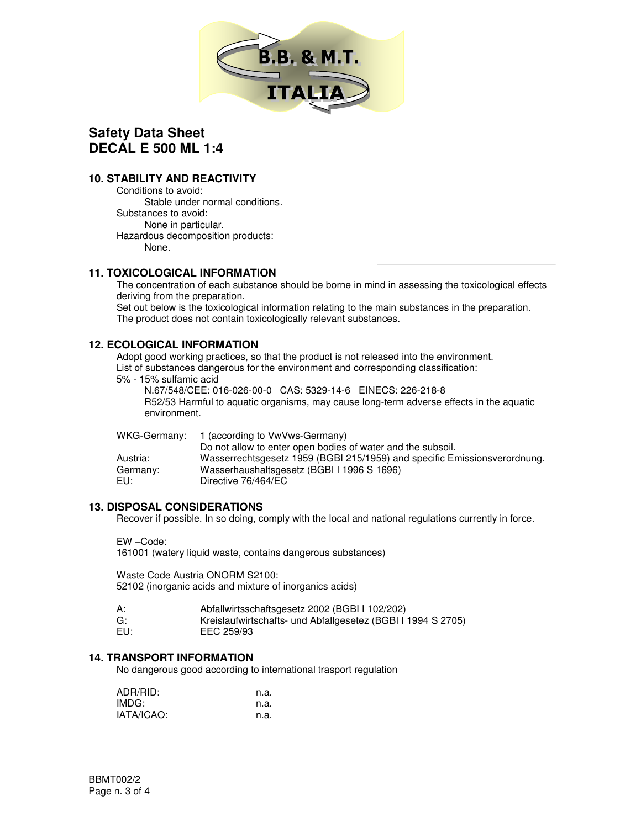

## **10. STABILITY AND REACTIVITY**

Conditions to avoid: Stable under normal conditions. Substances to avoid: None in particular. Hazardous decomposition products: None.

### **11. TOXICOLOGICAL INFORMATION**

The concentration of each substance should be borne in mind in assessing the toxicological effects deriving from the preparation.

Set out below is the toxicological information relating to the main substances in the preparation. The product does not contain toxicologically relevant substances.

### **12. ECOLOGICAL INFORMATION**

Adopt good working practices, so that the product is not released into the environment. List of substances dangerous for the environment and corresponding classification:

5% - 15% sulfamic acid

N.67/548/CEE: 016-026-00-0 CAS: 5329-14-6 EINECS: 226-218-8 R52/53 Harmful to aquatic organisms, may cause long-term adverse effects in the aquatic environment.

| WKG-Germany: | 1 (according to VwVws-Germany)                                            |
|--------------|---------------------------------------------------------------------------|
|              | Do not allow to enter open bodies of water and the subsoil.               |
| Austria:     | Wasserrechtsgesetz 1959 (BGBI 215/1959) and specific Emissionsverordnung. |
| Germany:     | Wasserhaushaltsgesetz (BGBI I 1996 S 1696)                                |
| EU:          | Directive 76/464/EC                                                       |

#### **13. DISPOSAL CONSIDERATIONS**

Recover if possible. In so doing, comply with the local and national regulations currently in force.

EW –Code:

161001 (watery liquid waste, contains dangerous substances)

Waste Code Austria ONORM S2100: 52102 (inorganic acids and mixture of inorganics acids)

| А: |  | Abfallwirtsschaftsgesetz 2002 (BGBI I 102/202) |  |  |
|----|--|------------------------------------------------|--|--|
|    |  |                                                |  |  |

- G: Kreislaufwirtschafts- und Abfallgesetez (BGBI I 1994 S 2705)
- EU: EEC 259/93

#### **14. TRANSPORT INFORMATION**

No dangerous good according to international trasport regulation

| ADR/RID:   | n.a. |
|------------|------|
| IMDG:      | n.a. |
| IATA/ICAO: | n.a. |